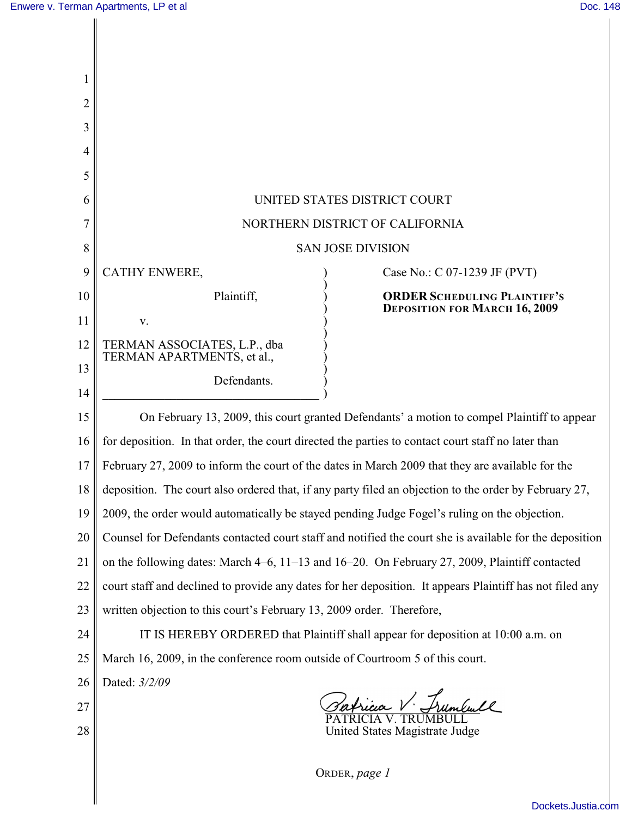| $\overline{2}$ |                                                                                                          |
|----------------|----------------------------------------------------------------------------------------------------------|
| 3              |                                                                                                          |
| 4              |                                                                                                          |
| 5              |                                                                                                          |
| 6              | UNITED STATES DISTRICT COURT                                                                             |
| 7              | NORTHERN DISTRICT OF CALIFORNIA                                                                          |
| 8              | <b>SAN JOSE DIVISION</b>                                                                                 |
| 9              | CATHY ENWERE,<br>Case No.: C 07-1239 JF (PVT)                                                            |
| 10             | Plaintiff,<br><b>ORDER SCHEDULING PLAINTIFF'S</b><br><b>DEPOSITION FOR MARCH 16, 2009</b>                |
| 11             | V.                                                                                                       |
| 12             | TERMAN ASSOCIATES, L.P., dba<br>TERMAN APARTMENTS, et al.,                                               |
| 13             | Defendants.                                                                                              |
| 14             |                                                                                                          |
| 15             | On February 13, 2009, this court granted Defendants' a motion to compel Plaintiff to appear              |
| 16             | for deposition. In that order, the court directed the parties to contact court staff no later than       |
| 17             | February 27, 2009 to inform the court of the dates in March 2009 that they are available for the         |
| 18             | deposition. The court also ordered that, if any party filed an objection to the order by February 27,    |
| 19             | 2009, the order would automatically be stayed pending Judge Fogel's ruling on the objection.             |
| 20             | Counsel for Defendants contacted court staff and notified the court she is available for the deposition  |
| 21             | on the following dates: March 4–6, 11–13 and 16–20. On February 27, 2009, Plaintiff contacted            |
| 22             | court staff and declined to provide any dates for her deposition. It appears Plaintiff has not filed any |
| 23             | written objection to this court's February 13, 2009 order. Therefore,                                    |
| 24             | IT IS HEREBY ORDERED that Plaintiff shall appear for deposition at 10:00 a.m. on                         |
| 25             | March 16, 2009, in the conference room outside of Courtroom 5 of this court.                             |
| 26             | Dated: 3/2/09                                                                                            |
| 27             | Patricia V. Frumbull                                                                                     |
| 28             | United States Magistrate Judge                                                                           |
|                |                                                                                                          |
|                | ORDER, page 1                                                                                            |